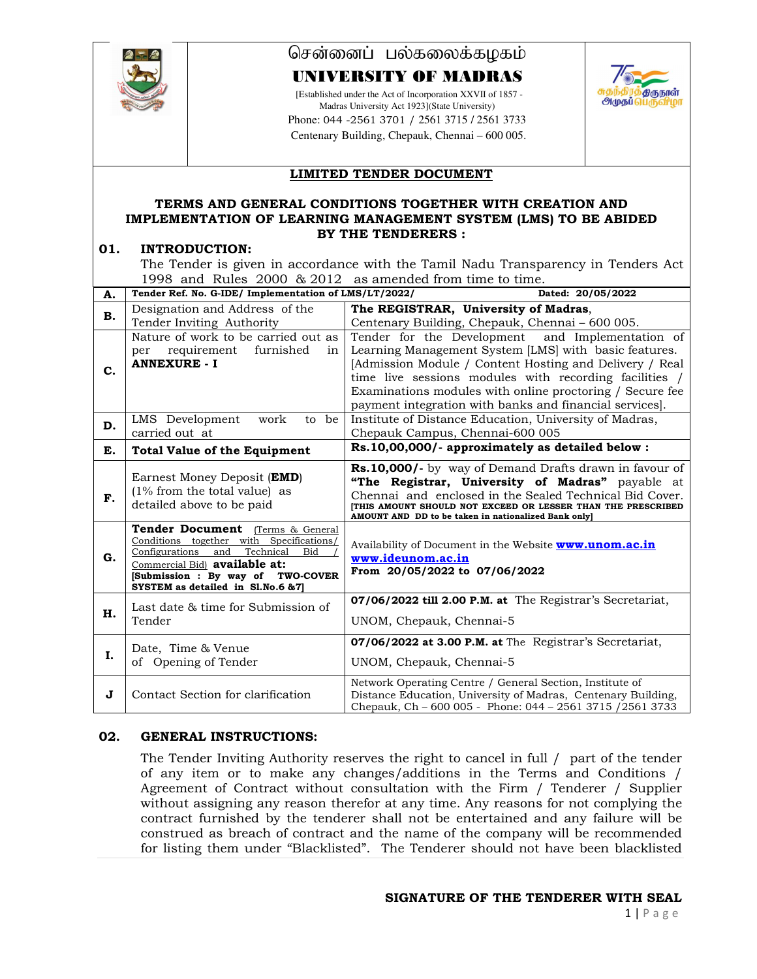

# சென்னைப் பல்கலைக்கழகம்

## UNIVERSITY OF MADRAS

[Established under the Act of Incorporation XXVII of 1857 - Madras University Act 1923](State University) Phone: 044 -2561 3701 / 2561 3715 / 2561 3733 Centenary Building, Chepauk, Chennai – 600 005.



## **LIMITED TENDER DOCUMENT**

#### **TERMS AND GENERAL CONDITIONS TOGETHER WITH CREATION AND IMPLEMENTATION OF LEARNING MANAGEMENT SYSTEM (LMS) TO BE ABIDED BY THE TENDERERS :**

#### **01. INTRODUCTION:**

The Tender is given in accordance with the Tamil Nadu Transparency in Tenders Act 1998 and Rules 2000 & 2012 as amended from time to time.

| А. | Tender Ref. No. G-IDE/ Implementation of LMS/LT/2022/                                                                                                                                                                                | Dated: 20/05/2022                                                                                                                                                                                                                                                                                                                                     |
|----|--------------------------------------------------------------------------------------------------------------------------------------------------------------------------------------------------------------------------------------|-------------------------------------------------------------------------------------------------------------------------------------------------------------------------------------------------------------------------------------------------------------------------------------------------------------------------------------------------------|
| В. | Designation and Address of the                                                                                                                                                                                                       | The REGISTRAR, University of Madras,                                                                                                                                                                                                                                                                                                                  |
|    | Tender Inviting Authority                                                                                                                                                                                                            | Centenary Building, Chepauk, Chennai - 600 005.                                                                                                                                                                                                                                                                                                       |
| C. | Nature of work to be carried out as<br>requirement<br>furnished<br>per<br>in<br><b>ANNEXURE - I</b>                                                                                                                                  | Tender for the Development and Implementation of<br>Learning Management System [LMS] with basic features.<br>[Admission Module / Content Hosting and Delivery / Real<br>time live sessions modules with recording facilities /<br>Examinations modules with online proctoring / Secure fee<br>payment integration with banks and financial services]. |
| D. | LMS Development<br>to be<br>work<br>carried out at                                                                                                                                                                                   | Institute of Distance Education, University of Madras,<br>Chepauk Campus, Chennai-600 005                                                                                                                                                                                                                                                             |
| E. | <b>Total Value of the Equipment</b>                                                                                                                                                                                                  | Rs.10,00,000/- approximately as detailed below :                                                                                                                                                                                                                                                                                                      |
| F. | Earnest Money Deposit ( <b>EMD</b> )<br>$(1\%$ from the total value) as<br>detailed above to be paid                                                                                                                                 | Rs.10,000/- by way of Demand Drafts drawn in favour of<br>"The Registrar, University of Madras" payable at<br>Chennai and enclosed in the Sealed Technical Bid Cover.<br>THIS AMOUNT SHOULD NOT EXCEED OR LESSER THAN THE PRESCRIBED<br>AMOUNT AND DD to be taken in nationalized Bank only]                                                          |
| G. | Tender Document (Terms & General<br>Conditions together with Specifications/<br>Configurations<br>Technical<br>Bid<br>and<br>Commercial Bid) available at:<br>[Submission : By way of TWO-COVER<br>SYSTEM as detailed in Sl.No.6 &7] | Availability of Document in the Website <b>www.unom.ac.in</b><br>www.ideunom.ac.in<br>From 20/05/2022 to 07/06/2022                                                                                                                                                                                                                                   |
| н. | Last date & time for Submission of<br>Tender                                                                                                                                                                                         | 07/06/2022 till 2.00 P.M. at The Registrar's Secretariat,<br>UNOM, Chepauk, Chennai-5                                                                                                                                                                                                                                                                 |
| Ι. | Date, Time & Venue<br>of Opening of Tender                                                                                                                                                                                           | 07/06/2022 at 3.00 P.M. at The Registrar's Secretariat,<br>UNOM, Chepauk, Chennai-5                                                                                                                                                                                                                                                                   |
| J  | Contact Section for clarification                                                                                                                                                                                                    | Network Operating Centre / General Section, Institute of<br>Distance Education, University of Madras, Centenary Building,<br>Chepauk, Ch - 600 005 - Phone: 044 - 2561 3715 / 2561 3733                                                                                                                                                               |

### **02. GENERAL INSTRUCTIONS:**

The Tender Inviting Authority reserves the right to cancel in full / part of the tender of any item or to make any changes/additions in the Terms and Conditions / Agreement of Contract without consultation with the Firm / Tenderer / Supplier without assigning any reason therefor at any time. Any reasons for not complying the contract furnished by the tenderer shall not be entertained and any failure will be construed as breach of contract and the name of the company will be recommended for listing them under "Blacklisted". The Tenderer should not have been blacklisted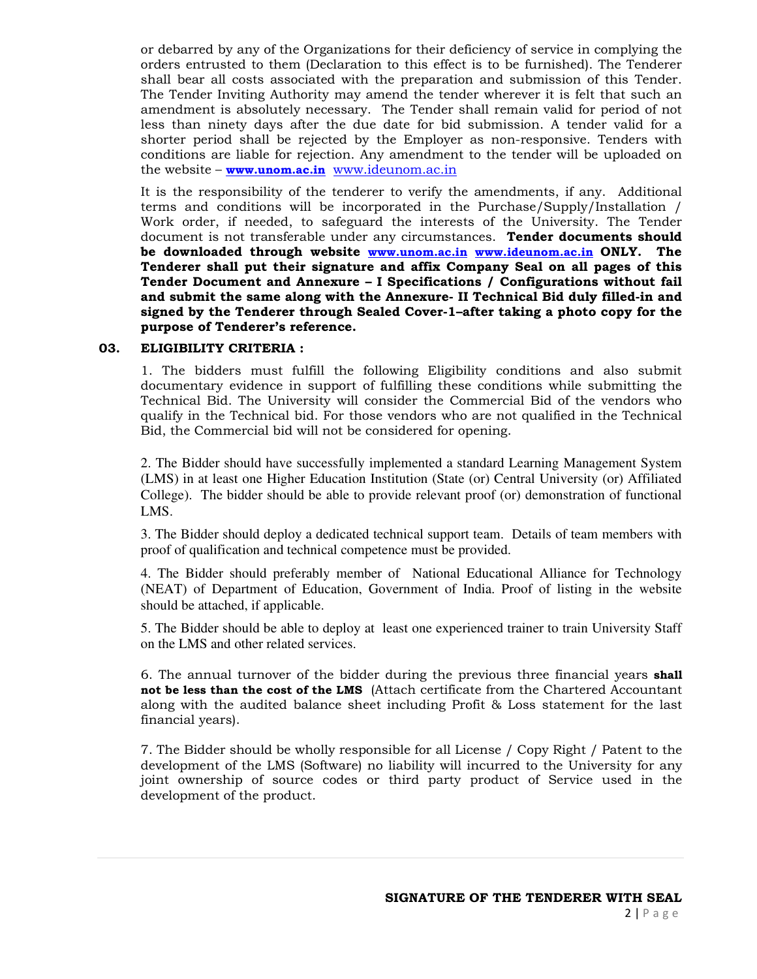or debarred by any of the Organizations for their deficiency of service in complying the orders entrusted to them (Declaration to this effect is to be furnished). The Tenderer shall bear all costs associated with the preparation and submission of this Tender. The Tender Inviting Authority may amend the tender wherever it is felt that such an amendment is absolutely necessary. The Tender shall remain valid for period of not less than ninety days after the due date for bid submission. A tender valid for a shorter period shall be rejected by the Employer as non-responsive. Tenders with conditions are liable for rejection. Any amendment to the tender will be uploaded on the website – **www.unom.ac.in** www.ideunom.ac.in

It is the responsibility of the tenderer to verify the amendments, if any. Additional terms and conditions will be incorporated in the Purchase/Supply/Installation / Work order, if needed, to safeguard the interests of the University. The Tender document is not transferable under any circumstances. **Tender documents should be downloaded through website www.unom.ac.in www.ideunom.ac.in ONLY. The Tenderer shall put their signature and affix Company Seal on all pages of this Tender Document and Annexure – I Specifications / Configurations without fail and submit the same along with the Annexure- II Technical Bid duly filled-in and signed by the Tenderer through Sealed Cover-1–after taking a photo copy for the purpose of Tenderer's reference.**

### **03. ELIGIBILITY CRITERIA :**

1. The bidders must fulfill the following Eligibility conditions and also submit documentary evidence in support of fulfilling these conditions while submitting the Technical Bid. The University will consider the Commercial Bid of the vendors who qualify in the Technical bid. For those vendors who are not qualified in the Technical Bid, the Commercial bid will not be considered for opening.

2. The Bidder should have successfully implemented a standard Learning Management System (LMS) in at least one Higher Education Institution (State (or) Central University (or) Affiliated College). The bidder should be able to provide relevant proof (or) demonstration of functional LMS.

3. The Bidder should deploy a dedicated technical support team. Details of team members with proof of qualification and technical competence must be provided.

4. The Bidder should preferably member of National Educational Alliance for Technology (NEAT) of Department of Education, Government of India. Proof of listing in the website should be attached, if applicable.

5. The Bidder should be able to deploy at least one experienced trainer to train University Staff on the LMS and other related services.

6. The annual turnover of the bidder during the previous three financial years **shall not be less than the cost of the LMS** (Attach certificate from the Chartered Accountant along with the audited balance sheet including Profit & Loss statement for the last financial years).

7. The Bidder should be wholly responsible for all License / Copy Right / Patent to the development of the LMS (Software) no liability will incurred to the University for any joint ownership of source codes or third party product of Service used in the development of the product.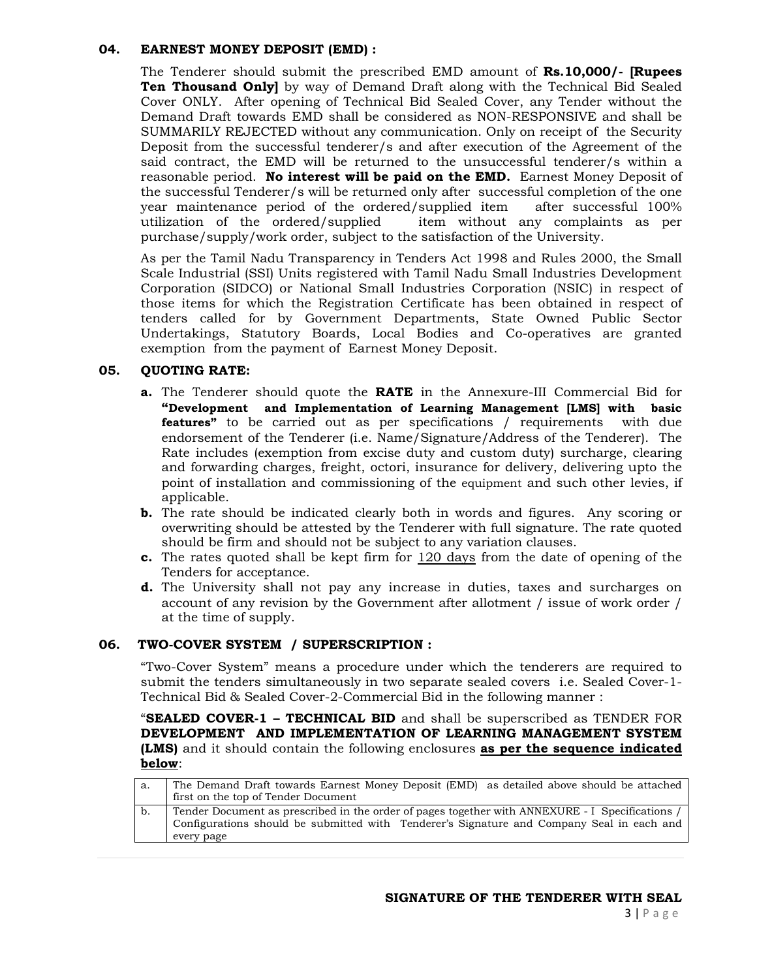### **04. EARNEST MONEY DEPOSIT (EMD) :**

The Tenderer should submit the prescribed EMD amount of **Rs.10,000/- [Rupees Ten Thousand Only]** by way of Demand Draft along with the Technical Bid Sealed Cover ONLY. After opening of Technical Bid Sealed Cover, any Tender without the Demand Draft towards EMD shall be considered as NON-RESPONSIVE and shall be SUMMARILY REJECTED without any communication. Only on receipt of the Security Deposit from the successful tenderer/s and after execution of the Agreement of the said contract, the EMD will be returned to the unsuccessful tenderer/s within a reasonable period. **No interest will be paid on the EMD.** Earnest Money Deposit of the successful Tenderer/s will be returned only after successful completion of the one year maintenance period of the ordered/supplied item after successful 100% utilization of the ordered/supplied item without any complaints as per purchase/supply/work order, subject to the satisfaction of the University.

As per the Tamil Nadu Transparency in Tenders Act 1998 and Rules 2000, the Small Scale Industrial (SSI) Units registered with Tamil Nadu Small Industries Development Corporation (SIDCO) or National Small Industries Corporation (NSIC) in respect of those items for which the Registration Certificate has been obtained in respect of tenders called for by Government Departments, State Owned Public Sector Undertakings, Statutory Boards, Local Bodies and Co-operatives are granted exemption from the payment of Earnest Money Deposit.

### **05. QUOTING RATE:**

- **a.** The Tenderer should quote the **RATE** in the Annexure-III Commercial Bid for **"Development and Implementation of Learning Management [LMS] with basic features"** to be carried out as per specifications / requirements with due endorsement of the Tenderer (i.e. Name/Signature/Address of the Tenderer). The Rate includes (exemption from excise duty and custom duty) surcharge, clearing and forwarding charges, freight, octori, insurance for delivery, delivering upto the point of installation and commissioning of the equipment and such other levies, if applicable.
- **b.** The rate should be indicated clearly both in words and figures. Any scoring or overwriting should be attested by the Tenderer with full signature. The rate quoted should be firm and should not be subject to any variation clauses.
- **c.** The rates quoted shall be kept firm for 120 days from the date of opening of the Tenders for acceptance.
- **d.** The University shall not pay any increase in duties, taxes and surcharges on account of any revision by the Government after allotment / issue of work order / at the time of supply.

#### **06. TWO-COVER SYSTEM / SUPERSCRIPTION :**

"Two-Cover System" means a procedure under which the tenderers are required to submit the tenders simultaneously in two separate sealed covers i.e. Sealed Cover-1- Technical Bid & Sealed Cover-2-Commercial Bid in the following manner :

"**SEALED COVER-1 – TECHNICAL BID** and shall be superscribed as TENDER FOR **DEVELOPMENT AND IMPLEMENTATION OF LEARNING MANAGEMENT SYSTEM (LMS)** and it should contain the following enclosures **as per the sequence indicated below**:

| а. | The Demand Draft towards Earnest Money Deposit (EMD) as detailed above should be attached                                                                                                                  |
|----|------------------------------------------------------------------------------------------------------------------------------------------------------------------------------------------------------------|
|    | first on the top of Tender Document                                                                                                                                                                        |
| b. | Tender Document as prescribed in the order of pages together with ANNEXURE - I Specifications /<br>Configurations should be submitted with Tenderer's Signature and Company Seal in each and<br>every page |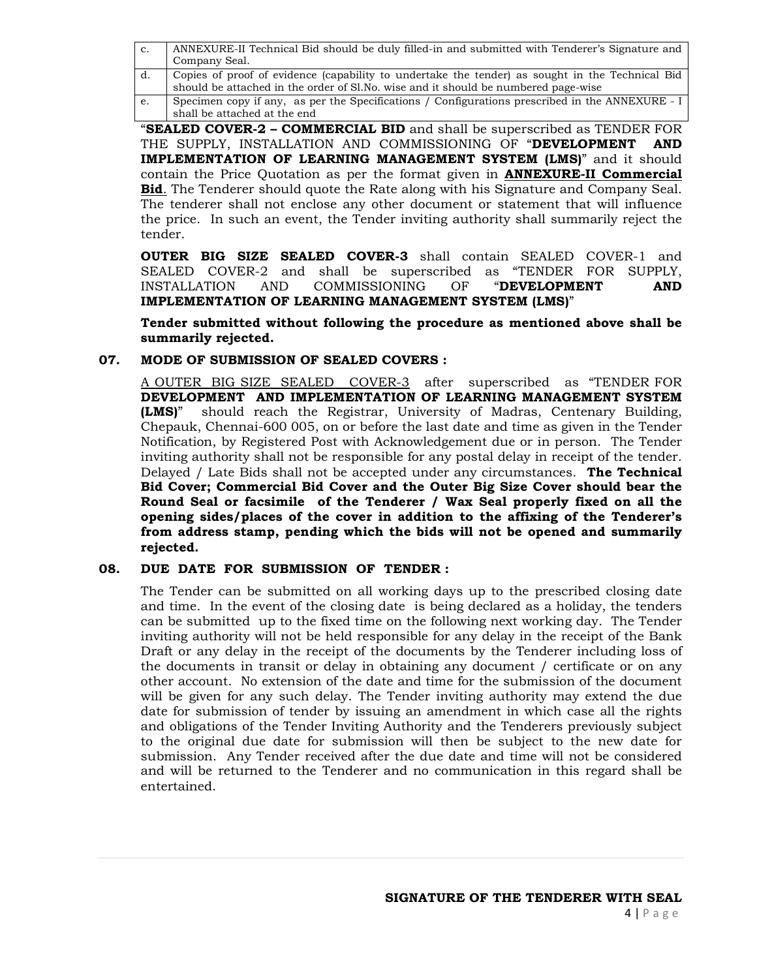| c. | ANNEXURE-II Technical Bid should be duly filled-in and submitted with Tenderer's Signature and<br>Company Seal.                                                                       |
|----|---------------------------------------------------------------------------------------------------------------------------------------------------------------------------------------|
| d. | Copies of proof of evidence (capability to undertake the tender) as sought in the Technical Bid<br>should be attached in the order of Sl.No. wise and it should be numbered page-wise |
| e. | Specimen copy if any, as per the Specifications / Configurations prescribed in the ANNEXURE - I<br>shall be attached at the end                                                       |

"**SEALED COVER-2 – COMMERCIAL BID** and shall be superscribed as TENDER FOR THE SUPPLY, INSTALLATION AND COMMISSIONING OF "**DEVELOPMENT AND IMPLEMENTATION OF LEARNING MANAGEMENT SYSTEM (LMS)**" and it should contain the Price Quotation as per the format given in **ANNEXURE-II Commercial Bid**. The Tenderer should quote the Rate along with his Signature and Company Seal. The tenderer shall not enclose any other document or statement that will influence the price. In such an event, the Tender inviting authority shall summarily reject the tender.

**OUTER BIG SIZE SEALED COVER-3** shall contain SEALED COVER-1 and SEALED COVER-2 and shall be superscribed as "TENDER FOR SUPPLY,<br>INSTALLATION AND COMMISSIONING OF "**DEVELOPMENT AND** AND COMMISSIONING OF "DEVELOPMENT AND **IMPLEMENTATION OF LEARNING MANAGEMENT SYSTEM (LMS)**"

**Tender submitted without following the procedure as mentioned above shall be summarily rejected.** 

### **07. MODE OF SUBMISSION OF SEALED COVERS :**

A OUTER BIG SIZE SEALED COVER-3 after superscribed as "TENDER FOR **DEVELOPMENT AND IMPLEMENTATION OF LEARNING MANAGEMENT SYSTEM (LMS)**" should reach the Registrar, University of Madras, Centenary Building, Chepauk, Chennai-600 005, on or before the last date and time as given in the Tender Notification, by Registered Post with Acknowledgement due or in person. The Tender inviting authority shall not be responsible for any postal delay in receipt of the tender. Delayed / Late Bids shall not be accepted under any circumstances. **The Technical Bid Cover; Commercial Bid Cover and the Outer Big Size Cover should bear the Round Seal or facsimile of the Tenderer / Wax Seal properly fixed on all the opening sides/places of the cover in addition to the affixing of the Tenderer's from address stamp, pending which the bids will not be opened and summarily rejected.**

### **08. DUE DATE FOR SUBMISSION OF TENDER :**

The Tender can be submitted on all working days up to the prescribed closing date and time. In the event of the closing date is being declared as a holiday, the tenders can be submitted up to the fixed time on the following next working day. The Tender inviting authority will not be held responsible for any delay in the receipt of the Bank Draft or any delay in the receipt of the documents by the Tenderer including loss of the documents in transit or delay in obtaining any document / certificate or on any other account. No extension of the date and time for the submission of the document will be given for any such delay. The Tender inviting authority may extend the due date for submission of tender by issuing an amendment in which case all the rights and obligations of the Tender Inviting Authority and the Tenderers previously subject to the original due date for submission will then be subject to the new date for submission. Any Tender received after the due date and time will not be considered and will be returned to the Tenderer and no communication in this regard shall be entertained.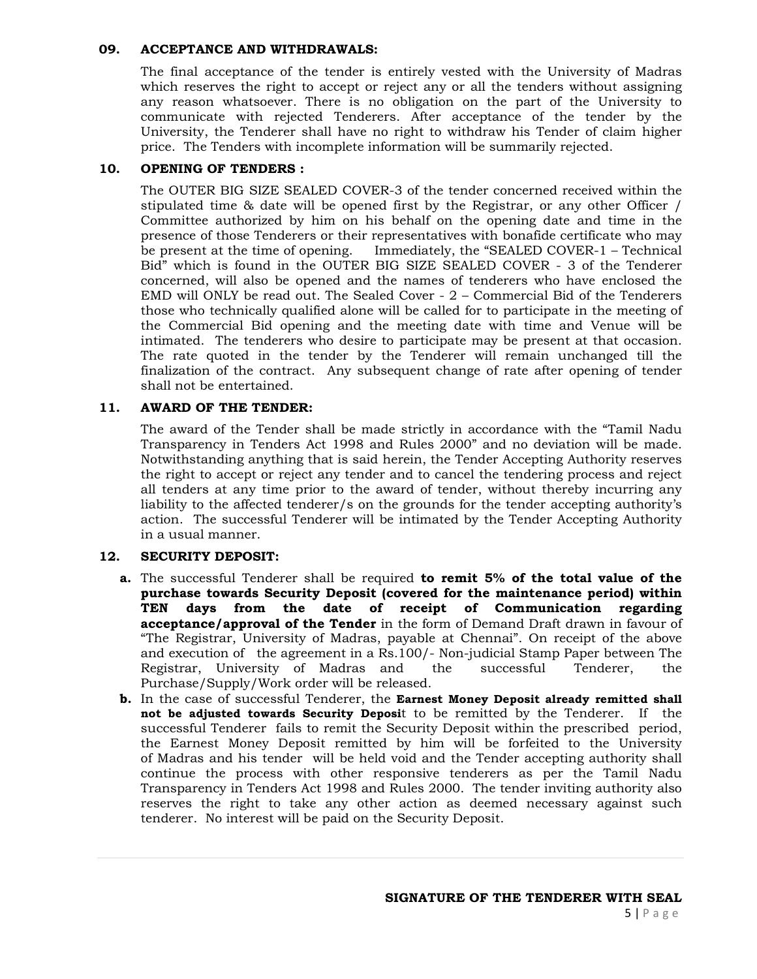#### **09. ACCEPTANCE AND WITHDRAWALS:**

The final acceptance of the tender is entirely vested with the University of Madras which reserves the right to accept or reject any or all the tenders without assigning any reason whatsoever. There is no obligation on the part of the University to communicate with rejected Tenderers. After acceptance of the tender by the University, the Tenderer shall have no right to withdraw his Tender of claim higher price. The Tenders with incomplete information will be summarily rejected.

## **10. OPENING OF TENDERS :**

The OUTER BIG SIZE SEALED COVER-3 of the tender concerned received within the stipulated time & date will be opened first by the Registrar, or any other Officer / Committee authorized by him on his behalf on the opening date and time in the presence of those Tenderers or their representatives with bonafide certificate who may be present at the time of opening. Immediately, the "SEALED COVER-1 – Technical Bid" which is found in the OUTER BIG SIZE SEALED COVER - 3 of the Tenderer concerned, will also be opened and the names of tenderers who have enclosed the EMD will ONLY be read out. The Sealed Cover - 2 – Commercial Bid of the Tenderers those who technically qualified alone will be called for to participate in the meeting of the Commercial Bid opening and the meeting date with time and Venue will be intimated. The tenderers who desire to participate may be present at that occasion. The rate quoted in the tender by the Tenderer will remain unchanged till the finalization of the contract. Any subsequent change of rate after opening of tender shall not be entertained.

## **11. AWARD OF THE TENDER:**

The award of the Tender shall be made strictly in accordance with the "Tamil Nadu Transparency in Tenders Act 1998 and Rules 2000" and no deviation will be made. Notwithstanding anything that is said herein, the Tender Accepting Authority reserves the right to accept or reject any tender and to cancel the tendering process and reject all tenders at any time prior to the award of tender, without thereby incurring any liability to the affected tenderer/s on the grounds for the tender accepting authority's action. The successful Tenderer will be intimated by the Tender Accepting Authority in a usual manner.

## **12. SECURITY DEPOSIT:**

- **a.** The successful Tenderer shall be required **to remit 5% of the total value of the purchase towards Security Deposit (covered for the maintenance period) within TEN days from the date of receipt of Communication regarding acceptance/approval of the Tender** in the form of Demand Draft drawn in favour of "The Registrar, University of Madras, payable at Chennai". On receipt of the above and execution of the agreement in a Rs.100/- Non-judicial Stamp Paper between The Registrar, University of Madras and the successful Tenderer, the Purchase/Supply/Work order will be released.
- **b.** In the case of successful Tenderer, the **Earnest Money Deposit already remitted shall not be adjusted towards Security Deposi**t to be remitted by the Tenderer. If the successful Tenderer fails to remit the Security Deposit within the prescribed period, the Earnest Money Deposit remitted by him will be forfeited to the University of Madras and his tender will be held void and the Tender accepting authority shall continue the process with other responsive tenderers as per the Tamil Nadu Transparency in Tenders Act 1998 and Rules 2000. The tender inviting authority also reserves the right to take any other action as deemed necessary against such tenderer. No interest will be paid on the Security Deposit.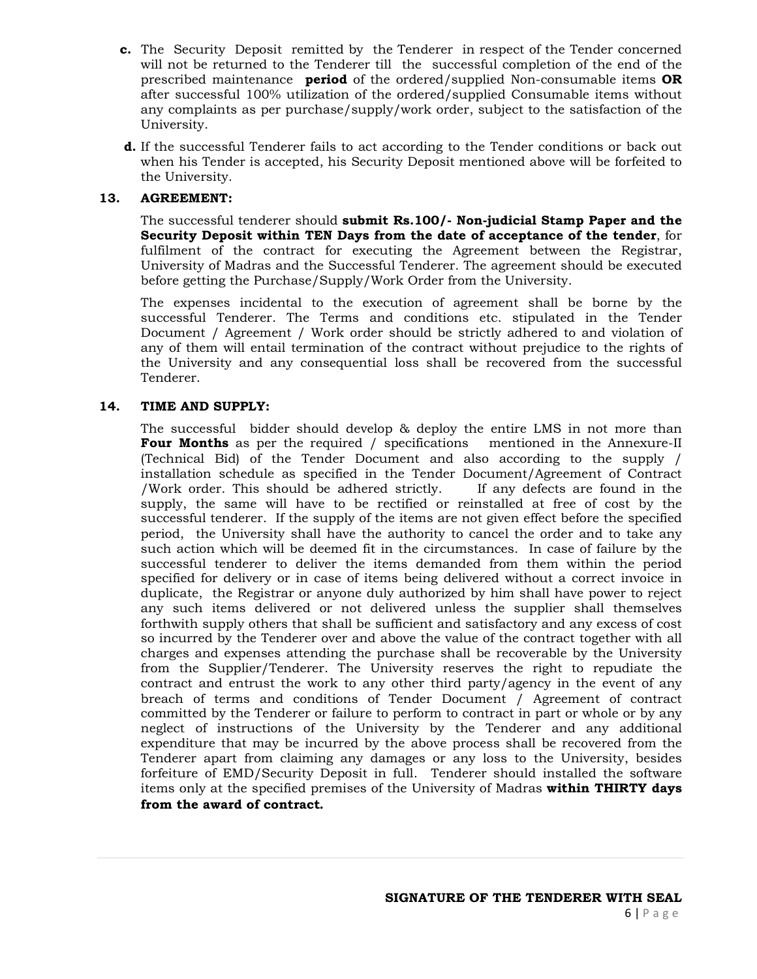- **c.** The Security Deposit remitted by the Tenderer in respect of the Tender concerned will not be returned to the Tenderer till the successful completion of the end of the prescribed maintenance **period** of the ordered/supplied Non-consumable items **OR** after successful 100% utilization of the ordered/supplied Consumable items without any complaints as per purchase/supply/work order, subject to the satisfaction of the University.
- **d.** If the successful Tenderer fails to act according to the Tender conditions or back out when his Tender is accepted, his Security Deposit mentioned above will be forfeited to the University.

#### **13. AGREEMENT:**

The successful tenderer should **submit Rs.100/- Non-judicial Stamp Paper and the Security Deposit within TEN Days from the date of acceptance of the tender**, for fulfilment of the contract for executing the Agreement between the Registrar, University of Madras and the Successful Tenderer. The agreement should be executed before getting the Purchase/Supply/Work Order from the University.

The expenses incidental to the execution of agreement shall be borne by the successful Tenderer. The Terms and conditions etc. stipulated in the Tender Document / Agreement / Work order should be strictly adhered to and violation of any of them will entail termination of the contract without prejudice to the rights of the University and any consequential loss shall be recovered from the successful Tenderer.

#### **14. TIME AND SUPPLY:**

The successful bidder should develop & deploy the entire LMS in not more than **Four Months** as per the required / specifications mentioned in the Annexure-II (Technical Bid) of the Tender Document and also according to the supply / installation schedule as specified in the Tender Document/Agreement of Contract /Work order. This should be adhered strictly. If any defects are found in the supply, the same will have to be rectified or reinstalled at free of cost by the successful tenderer. If the supply of the items are not given effect before the specified period, the University shall have the authority to cancel the order and to take any such action which will be deemed fit in the circumstances. In case of failure by the successful tenderer to deliver the items demanded from them within the period specified for delivery or in case of items being delivered without a correct invoice in duplicate, the Registrar or anyone duly authorized by him shall have power to reject any such items delivered or not delivered unless the supplier shall themselves forthwith supply others that shall be sufficient and satisfactory and any excess of cost so incurred by the Tenderer over and above the value of the contract together with all charges and expenses attending the purchase shall be recoverable by the University from the Supplier/Tenderer. The University reserves the right to repudiate the contract and entrust the work to any other third party/agency in the event of any breach of terms and conditions of Tender Document / Agreement of contract committed by the Tenderer or failure to perform to contract in part or whole or by any neglect of instructions of the University by the Tenderer and any additional expenditure that may be incurred by the above process shall be recovered from the Tenderer apart from claiming any damages or any loss to the University, besides forfeiture of EMD/Security Deposit in full. Tenderer should installed the software items only at the specified premises of the University of Madras **within THIRTY days from the award of contract.**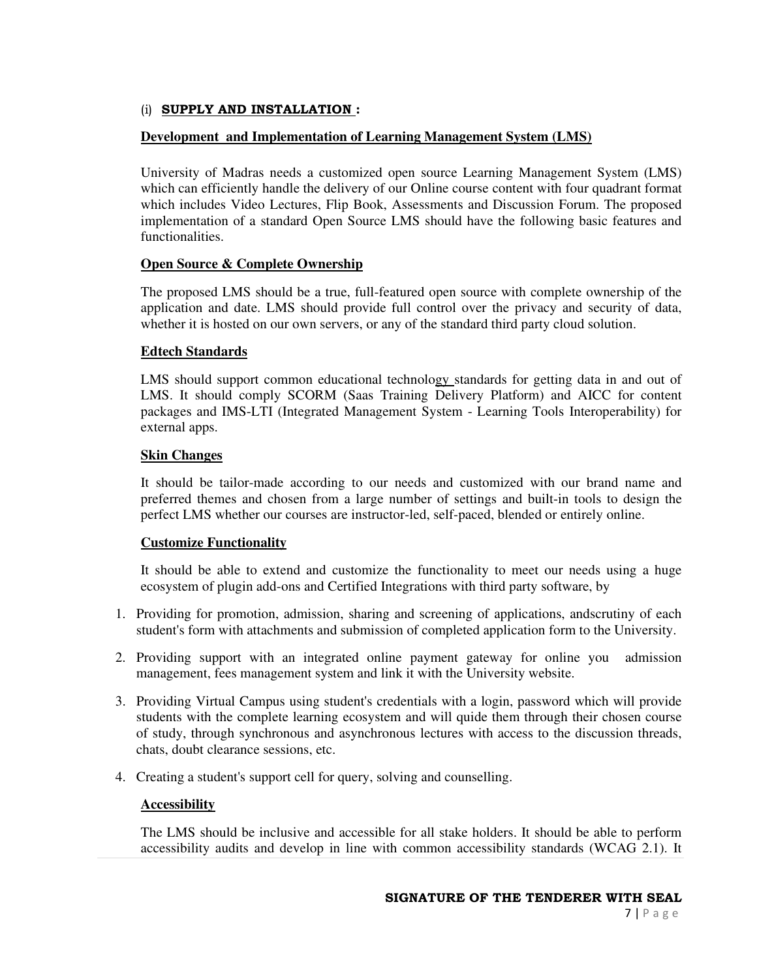## (i) **SUPPLY AND INSTALLATION :**

## **Development and Implementation of Learning Management System (LMS)**

University of Madras needs a customized open source Learning Management System (LMS) which can efficiently handle the delivery of our Online course content with four quadrant format which includes Video Lectures, Flip Book, Assessments and Discussion Forum. The proposed implementation of a standard Open Source LMS should have the following basic features and functionalities.

## **Open Source & Complete Ownership**

The proposed LMS should be a true, full-featured open source with complete ownership of the application and date. LMS should provide full control over the privacy and security of data, whether it is hosted on our own servers, or any of the standard third party cloud solution.

## **Edtech Standards**

LMS should support common educational technology standards for getting data in and out of LMS. It should comply SCORM (Saas Training Delivery Platform) and AICC for content packages and IMS-LTI (Integrated Management System - Learning Tools Interoperability) for external apps.

## **Skin Changes**

It should be tailor-made according to our needs and customized with our brand name and preferred themes and chosen from a large number of settings and built-in tools to design the perfect LMS whether our courses are instructor-led, self-paced, blended or entirely online.

### **Customize Functionality**

It should be able to extend and customize the functionality to meet our needs using a huge ecosystem of plugin add-ons and Certified Integrations with third party software, by

- 1. Providing for promotion, admission, sharing and screening of applications, andscrutiny of each student's form with attachments and submission of completed application form to the University.
- 2. Providing support with an integrated online payment gateway for online you admission management, fees management system and link it with the University website.
- 3. Providing Virtual Campus using student's credentials with a login, password which will provide students with the complete learning ecosystem and will quide them through their chosen course of study, through synchronous and asynchronous lectures with access to the discussion threads, chats, doubt clearance sessions, etc.
- 4. Creating a student's support cell for query, solving and counselling.

### **Accessibility**

The LMS should be inclusive and accessible for all stake holders. It should be able to perform accessibility audits and develop in line with common accessibility standards (WCAG 2.1). It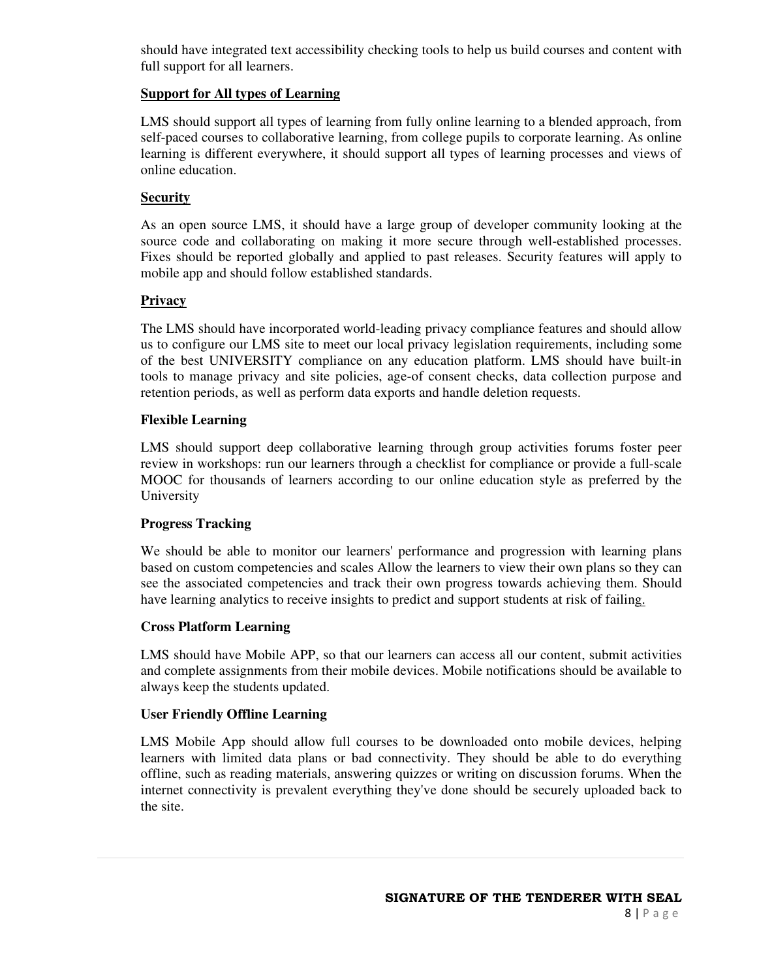should have integrated text accessibility checking tools to help us build courses and content with full support for all learners.

## **Support for All types of Learning**

LMS should support all types of learning from fully online learning to a blended approach, from self-paced courses to collaborative learning, from college pupils to corporate learning. As online learning is different everywhere, it should support all types of learning processes and views of online education.

## **Security**

As an open source LMS, it should have a large group of developer community looking at the source code and collaborating on making it more secure through well-established processes. Fixes should be reported globally and applied to past releases. Security features will apply to mobile app and should follow established standards.

## **Privacy**

The LMS should have incorporated world-leading privacy compliance features and should allow us to configure our LMS site to meet our local privacy legislation requirements, including some of the best UNIVERSITY compliance on any education platform. LMS should have built-in tools to manage privacy and site policies, age-of consent checks, data collection purpose and retention periods, as well as perform data exports and handle deletion requests.

## **Flexible Learning**

LMS should support deep collaborative learning through group activities forums foster peer review in workshops: run our learners through a checklist for compliance or provide a full-scale MOOC for thousands of learners according to our online education style as preferred by the University

## **Progress Tracking**

We should be able to monitor our learners' performance and progression with learning plans based on custom competencies and scales Allow the learners to view their own plans so they can see the associated competencies and track their own progress towards achieving them. Should have learning analytics to receive insights to predict and support students at risk of failing.

### **Cross Platform Learning**

LMS should have Mobile APP, so that our learners can access all our content, submit activities and complete assignments from their mobile devices. Mobile notifications should be available to always keep the students updated.

### **User Friendly Offline Learning**

LMS Mobile App should allow full courses to be downloaded onto mobile devices, helping learners with limited data plans or bad connectivity. They should be able to do everything offline, such as reading materials, answering quizzes or writing on discussion forums. When the internet connectivity is prevalent everything they've done should be securely uploaded back to the site.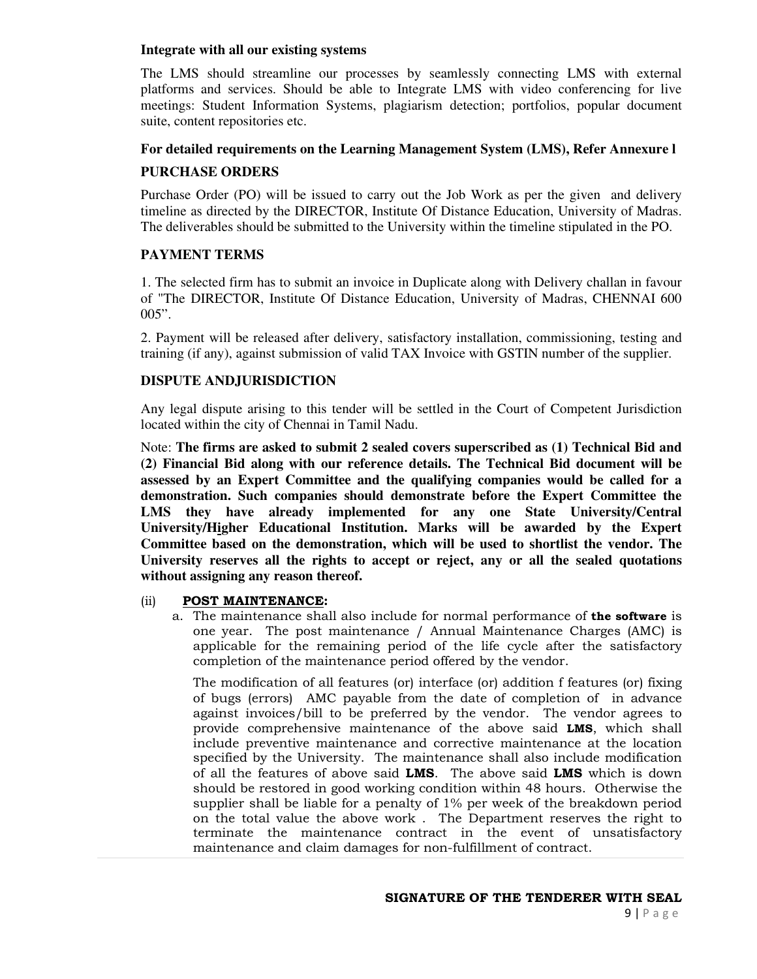#### **Integrate with all our existing systems**

The LMS should streamline our processes by seamlessly connecting LMS with external platforms and services. Should be able to Integrate LMS with video conferencing for live meetings: Student Information Systems, plagiarism detection; portfolios, popular document suite, content repositories etc.

## **For detailed requirements on the Learning Management System (LMS), Refer Annexure l PURCHASE ORDERS**

Purchase Order (PO) will be issued to carry out the Job Work as per the given and delivery timeline as directed by the DIRECTOR, Institute Of Distance Education, University of Madras. The deliverables should be submitted to the University within the timeline stipulated in the PO.

## **PAYMENT TERMS**

1. The selected firm has to submit an invoice in Duplicate along with Delivery challan in favour of "The DIRECTOR, Institute Of Distance Education, University of Madras, CHENNAI 600  $005$ ".

2. Payment will be released after delivery, satisfactory installation, commissioning, testing and training (if any), against submission of valid TAX Invoice with GSTIN number of the supplier.

## **DISPUTE ANDJURISDICTION**

Any legal dispute arising to this tender will be settled in the Court of Competent Jurisdiction located within the city of Chennai in Tamil Nadu.

Note: **The firms are asked to submit 2 sealed covers superscribed as (1) Technical Bid and (2) Financial Bid along with our reference details. The Technical Bid document will be assessed by an Expert Committee and the qualifying companies would be called for a demonstration. Such companies should demonstrate before the Expert Committee the LMS they have already implemented for any one State University/Central University/Higher Educational Institution. Marks will be awarded by the Expert Committee based on the demonstration, which will be used to shortlist the vendor. The University reserves all the rights to accept or reject, any or all the sealed quotations without assigning any reason thereof.** 

### (ii) **POST MAINTENANCE:**

a. The maintenance shall also include for normal performance of **the software** is one year. The post maintenance / Annual Maintenance Charges (AMC) is applicable for the remaining period of the life cycle after the satisfactory completion of the maintenance period offered by the vendor.

The modification of all features (or) interface (or) addition f features (or) fixing of bugs (errors) AMC payable from the date of completion of in advance against invoices/bill to be preferred by the vendor. The vendor agrees to provide comprehensive maintenance of the above said **LMS**, which shall include preventive maintenance and corrective maintenance at the location specified by the University. The maintenance shall also include modification of all the features of above said **LMS**. The above said **LMS** which is down should be restored in good working condition within 48 hours. Otherwise the supplier shall be liable for a penalty of 1% per week of the breakdown period on the total value the above work . The Department reserves the right to terminate the maintenance contract in the event of unsatisfactory maintenance and claim damages for non-fulfillment of contract.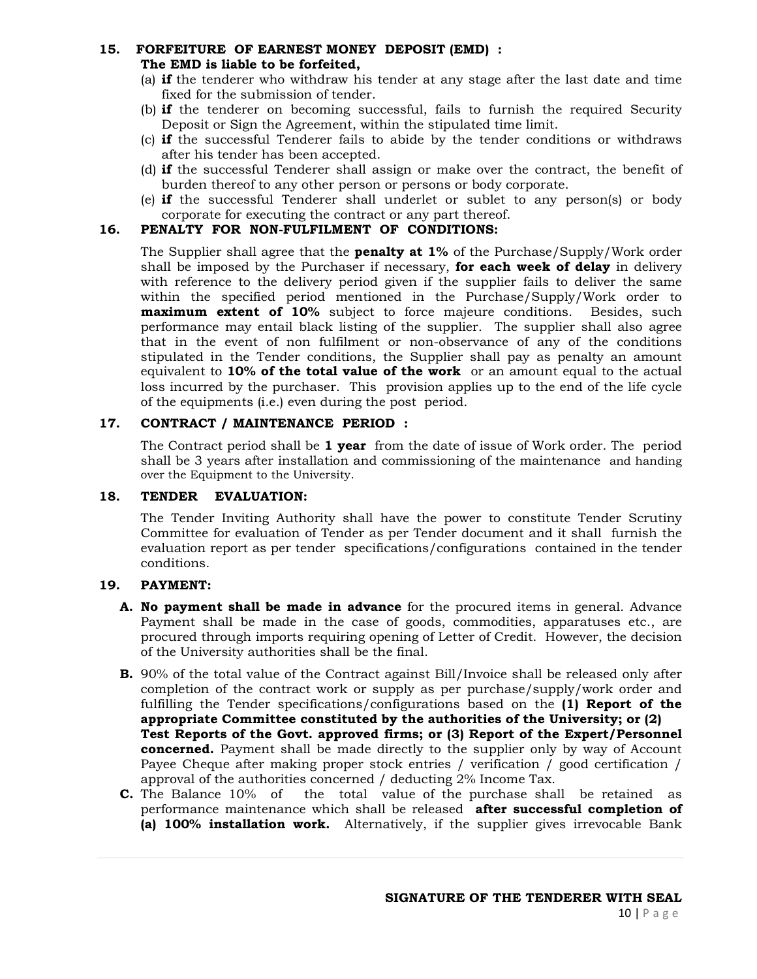### **15. FORFEITURE OF EARNEST MONEY DEPOSIT (EMD) : The EMD is liable to be forfeited,**

- (a) **if** the tenderer who withdraw his tender at any stage after the last date and time fixed for the submission of tender.
- (b) **if** the tenderer on becoming successful, fails to furnish the required Security Deposit or Sign the Agreement, within the stipulated time limit.
- (c) **if** the successful Tenderer fails to abide by the tender conditions or withdraws after his tender has been accepted.
- (d) **if** the successful Tenderer shall assign or make over the contract, the benefit of burden thereof to any other person or persons or body corporate.
- (e) **if** the successful Tenderer shall underlet or sublet to any person(s) or body corporate for executing the contract or any part thereof.

## **16. PENALTY FOR NON-FULFILMENT OF CONDITIONS:**

The Supplier shall agree that the **penalty at 1%** of the Purchase/Supply/Work order shall be imposed by the Purchaser if necessary, **for each week of delay** in delivery with reference to the delivery period given if the supplier fails to deliver the same within the specified period mentioned in the Purchase/Supply/Work order to **maximum extent of 10%** subject to force majeure conditions. Besides, such performance may entail black listing of the supplier. The supplier shall also agree that in the event of non fulfilment or non-observance of any of the conditions stipulated in the Tender conditions, the Supplier shall pay as penalty an amount equivalent to **10% of the total value of the work** or an amount equal to the actual loss incurred by the purchaser. This provision applies up to the end of the life cycle of the equipments (i.e.) even during the post period.

## **17. CONTRACT / MAINTENANCE PERIOD :**

The Contract period shall be **1 year** from the date of issue of Work order. The period shall be 3 years after installation and commissioning of the maintenance and handing over the Equipment to the University.

## **18. TENDER EVALUATION:**

The Tender Inviting Authority shall have the power to constitute Tender Scrutiny Committee for evaluation of Tender as per Tender document and it shall furnish the evaluation report as per tender specifications/configurations contained in the tender conditions.

### **19. PAYMENT:**

- **A. No payment shall be made in advance** for the procured items in general. Advance Payment shall be made in the case of goods, commodities, apparatuses etc., are procured through imports requiring opening of Letter of Credit. However, the decision of the University authorities shall be the final.
- **B.** 90% of the total value of the Contract against Bill/Invoice shall be released only after completion of the contract work or supply as per purchase/supply/work order and fulfilling the Tender specifications/configurations based on the **(1) Report of the appropriate Committee constituted by the authorities of the University; or (2) Test Reports of the Govt. approved firms; or (3) Report of the Expert/Personnel concerned.** Payment shall be made directly to the supplier only by way of Account Payee Cheque after making proper stock entries / verification / good certification / approval of the authorities concerned / deducting 2% Income Tax.
- **C.** The Balance 10% of the total value of the purchase shall be retained as performance maintenance which shall be released **after successful completion of (a) 100% installation work.** Alternatively, if the supplier gives irrevocable Bank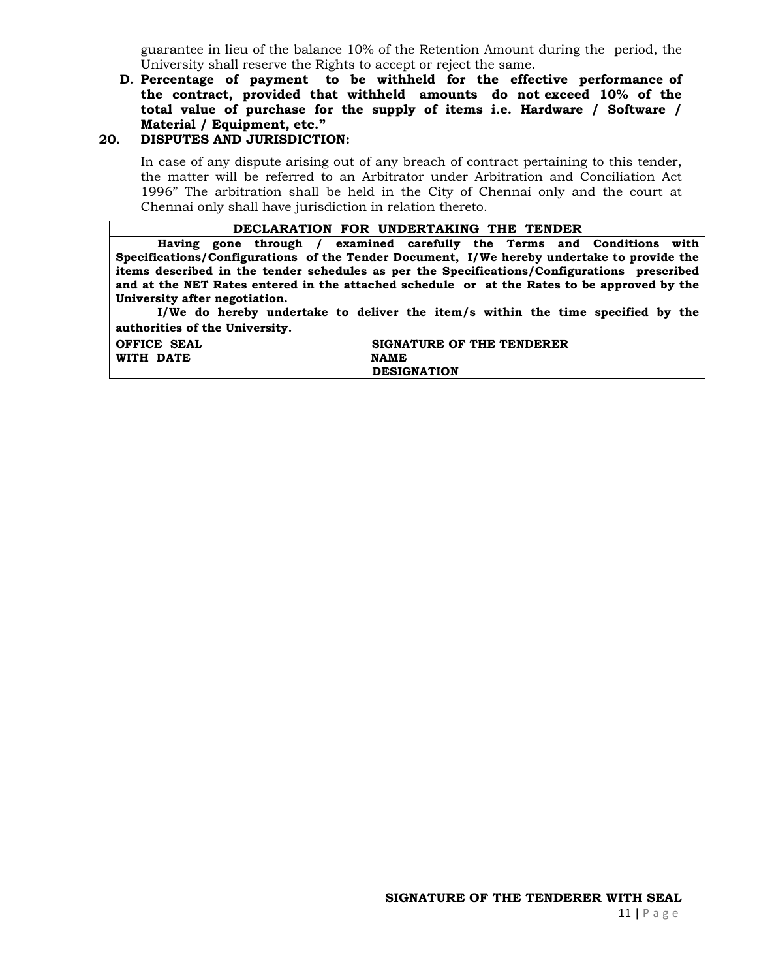guarantee in lieu of the balance 10% of the Retention Amount during the period, the University shall reserve the Rights to accept or reject the same.

## **D. Percentage of payment to be withheld for the effective performance of the contract, provided that withheld amounts do not exceed 10% of the total value of purchase for the supply of items i.e. Hardware / Software / Material / Equipment, etc."**

#### **20. DISPUTES AND JURISDICTION:**

In case of any dispute arising out of any breach of contract pertaining to this tender, the matter will be referred to an Arbitrator under Arbitration and Conciliation Act 1996" The arbitration shall be held in the City of Chennai only and the court at Chennai only shall have jurisdiction in relation thereto.

#### **DECLARATION FOR UNDERTAKING THE TENDER**

**Having gone through / examined carefully the Terms and Conditions with Specifications/Configurations of the Tender Document, I/We hereby undertake to provide the items described in the tender schedules as per the Specifications/Configurations prescribed and at the NET Rates entered in the attached schedule or at the Rates to be approved by the University after negotiation.** 

 **I/We do hereby undertake to deliver the item/s within the time specified by the authorities of the University.** 

| OFFICE SEAL | SIGNATURE OF THE TENDERER |
|-------------|---------------------------|
| WITH DATE   | <b>NAME</b>               |
|             | <b>DESIGNATION</b>        |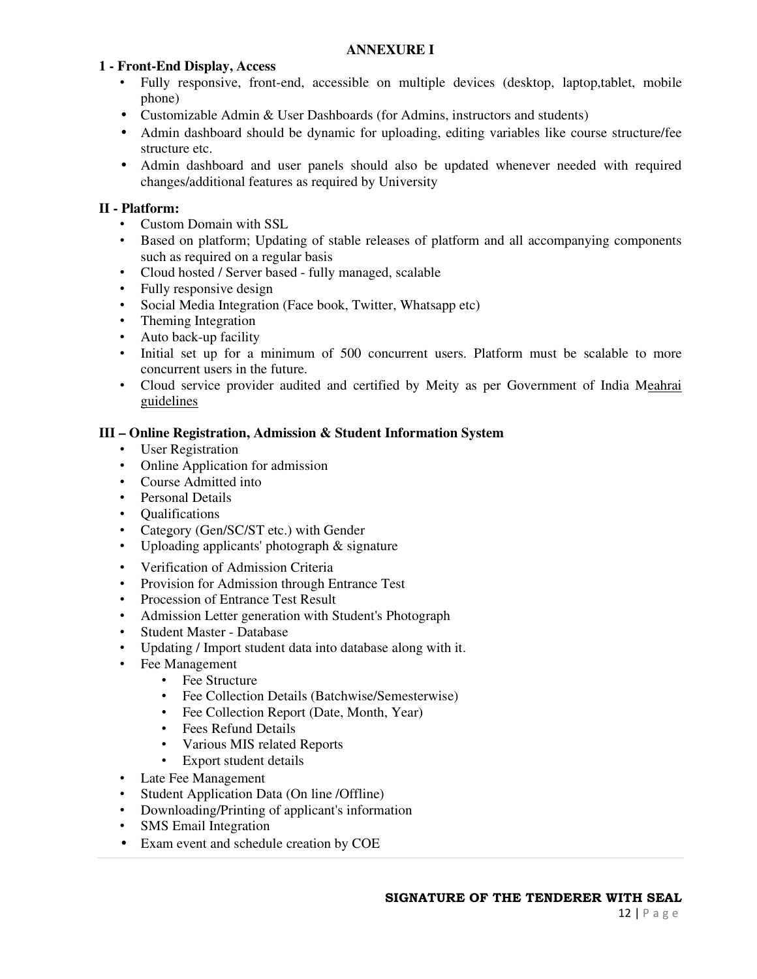### **ANNEXURE I**

### **1 - Front-End Display, Access**

- Fully responsive, front-end, accessible on multiple devices (desktop, laptop,tablet, mobile phone)
- Customizable Admin & User Dashboards (for Admins, instructors and students)
- Admin dashboard should be dynamic for uploading, editing variables like course structure/fee structure etc.
- Admin dashboard and user panels should also be updated whenever needed with required changes/additional features as required by University

### **II - Platform:**

- Custom Domain with SSL
- Based on platform; Updating of stable releases of platform and all accompanying components such as required on a regular basis
- Cloud hosted / Server based fully managed, scalable
- Fully responsive design
- Social Media Integration (Face book, Twitter, Whatsapp etc)
- Theming Integration
- Auto back-up facility
- Initial set up for a minimum of 500 concurrent users. Platform must be scalable to more concurrent users in the future.
- Cloud service provider audited and certified by Meity as per Government of India Meahrai guidelines

### **III – Online Registration, Admission & Student Information System**

- User Registration
- Online Application for admission
- Course Admitted into
- Personal Details
- Qualifications
- Category (Gen/SC/ST etc.) with Gender
- Uploading applicants' photograph & signature
- Verification of Admission Criteria
- Provision for Admission through Entrance Test
- Procession of Entrance Test Result
- Admission Letter generation with Student's Photograph
- Student Master Database
- Updating / Import student data into database along with it.
- Fee Management
	- Fee Structure
	- Fee Collection Details (Batchwise/Semesterwise)
	- Fee Collection Report (Date, Month, Year)
	- Fees Refund Details
	- Various MIS related Reports
	- Export student details
- Late Fee Management
- Student Application Data (On line /Offline)
- Downloading/Printing of applicant's information
- **SMS** Email Integration
- Exam event and schedule creation by COE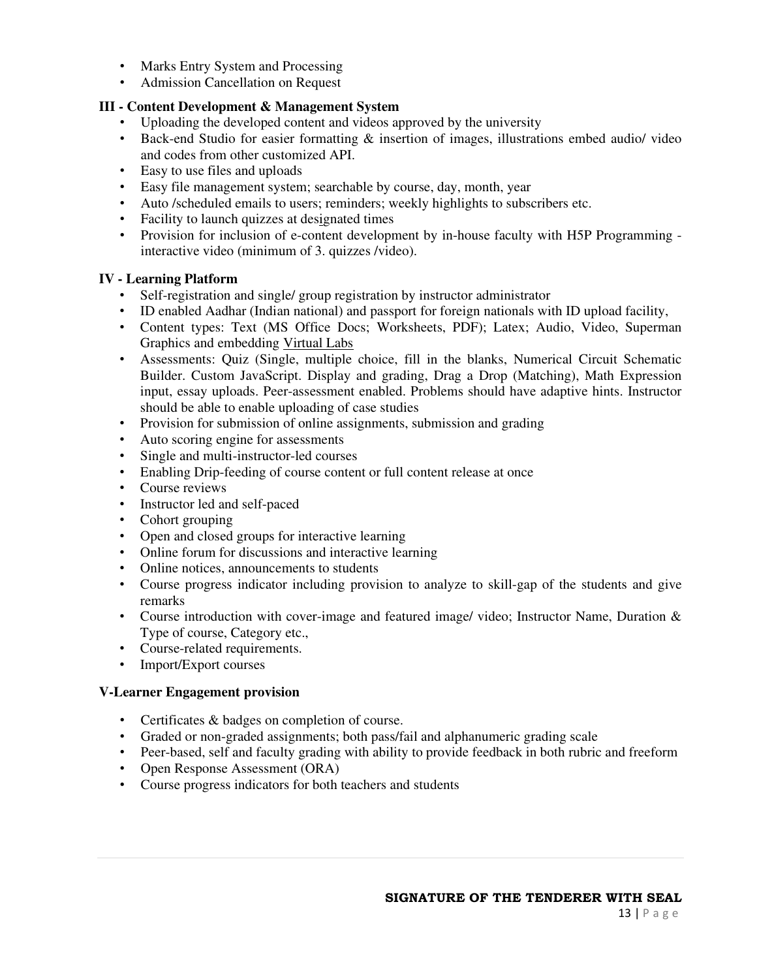- Marks Entry System and Processing
- Admission Cancellation on Request

## **III - Content Development & Management System**

- Uploading the developed content and videos approved by the university
- Back-end Studio for easier formatting & insertion of images, illustrations embed audio/ video and codes from other customized API.
- Easy to use files and uploads
- Easy file management system; searchable by course, day, month, year
- Auto /scheduled emails to users; reminders; weekly highlights to subscribers etc.
- Facility to launch quizzes at designated times
- Provision for inclusion of e-content development by in-house faculty with H5P Programming interactive video (minimum of 3. quizzes /video).

## **IV - Learning Platform**

- Self-registration and single/ group registration by instructor administrator
- ID enabled Aadhar (Indian national) and passport for foreign nationals with ID upload facility,
- Content types: Text (MS Office Docs; Worksheets, PDF); Latex; Audio, Video, Superman Graphics and embedding Virtual Labs
- Assessments: Quiz (Single, multiple choice, fill in the blanks, Numerical Circuit Schematic Builder. Custom JavaScript. Display and grading, Drag a Drop (Matching), Math Expression input, essay uploads. Peer-assessment enabled. Problems should have adaptive hints. Instructor should be able to enable uploading of case studies
- Provision for submission of online assignments, submission and grading
- Auto scoring engine for assessments
- Single and multi-instructor-led courses
- Enabling Drip-feeding of course content or full content release at once
- Course reviews
- Instructor led and self-paced
- Cohort grouping
- Open and closed groups for interactive learning
- Online forum for discussions and interactive learning
- Online notices, announcements to students
- Course progress indicator including provision to analyze to skill-gap of the students and give remarks
- Course introduction with cover-image and featured image/ video; Instructor Name, Duration & Type of course, Category etc.,
- Course-related requirements.
- Import/Export courses

## **V-Learner Engagement provision**

- Certificates & badges on completion of course.
- Graded or non-graded assignments; both pass/fail and alphanumeric grading scale
- Peer-based, self and faculty grading with ability to provide feedback in both rubric and freeform
- Open Response Assessment (ORA)
- Course progress indicators for both teachers and students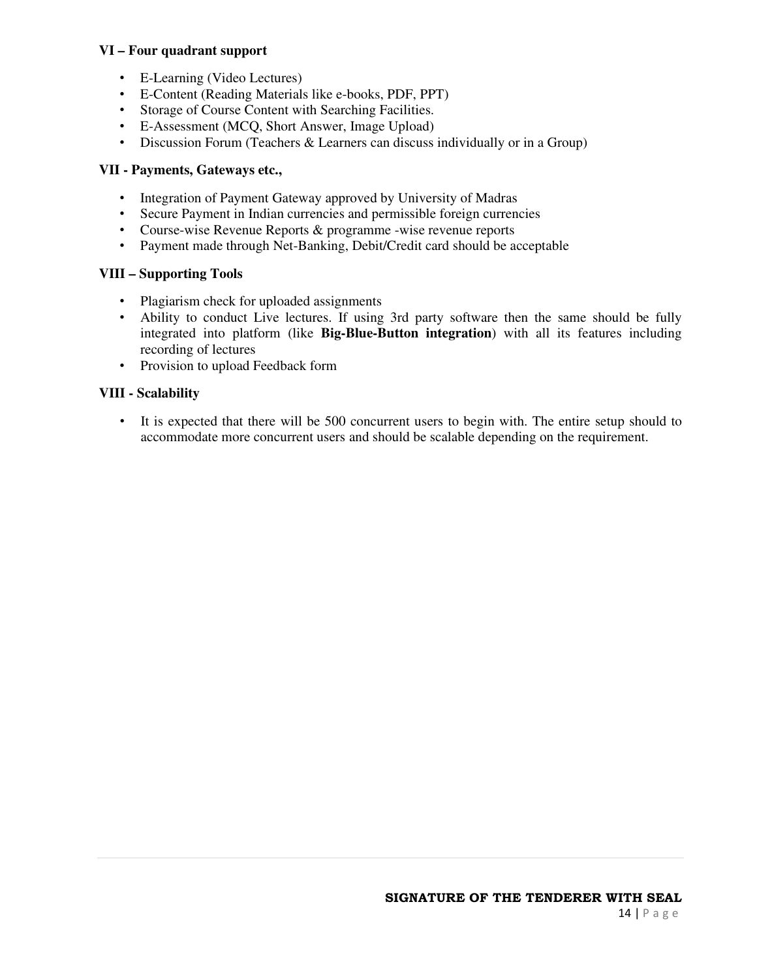## **VI – Four quadrant support**

- E-Learning (Video Lectures)
- E-Content (Reading Materials like e-books, PDF, PPT)
- Storage of Course Content with Searching Facilities.
- E-Assessment (MCQ, Short Answer, Image Upload)
- Discussion Forum (Teachers & Learners can discuss individually or in a Group)

## **VII - Payments, Gateways etc.,**

- Integration of Payment Gateway approved by University of Madras
- Secure Payment in Indian currencies and permissible foreign currencies
- Course-wise Revenue Reports & programme -wise revenue reports
- Payment made through Net-Banking, Debit/Credit card should be acceptable

## **VIII – Supporting Tools**

- Plagiarism check for uploaded assignments
- Ability to conduct Live lectures. If using 3rd party software then the same should be fully integrated into platform (like **Big-Blue-Button integration**) with all its features including recording of lectures
- Provision to upload Feedback form

## **VIII - Scalability**

• It is expected that there will be 500 concurrent users to begin with. The entire setup should to accommodate more concurrent users and should be scalable depending on the requirement.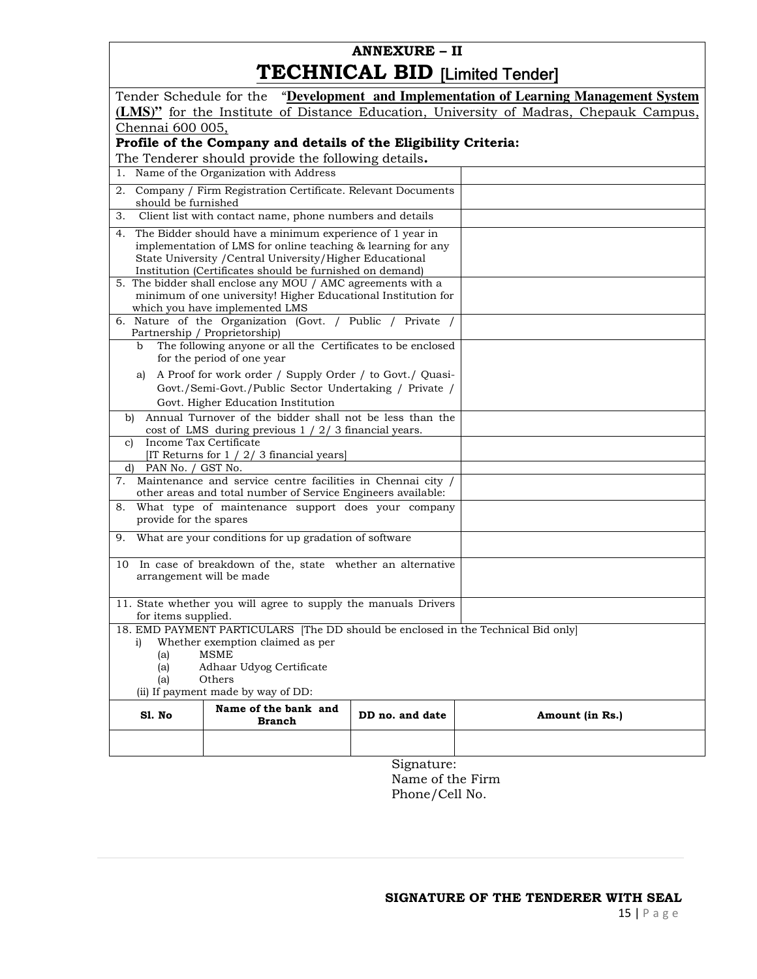# **ANNEXURE – II TECHNICAL BID** [Limited Tender]

| Tender Schedule for the "Development and Implementation of Learning Management System                                                                                                                                                |                                                                                                                                                                                                                                                                                                                    |                 |                                                                                       |
|--------------------------------------------------------------------------------------------------------------------------------------------------------------------------------------------------------------------------------------|--------------------------------------------------------------------------------------------------------------------------------------------------------------------------------------------------------------------------------------------------------------------------------------------------------------------|-----------------|---------------------------------------------------------------------------------------|
|                                                                                                                                                                                                                                      |                                                                                                                                                                                                                                                                                                                    |                 | (LMS)" for the Institute of Distance Education, University of Madras, Chepauk Campus, |
| Chennai 600 005,                                                                                                                                                                                                                     |                                                                                                                                                                                                                                                                                                                    |                 |                                                                                       |
|                                                                                                                                                                                                                                      | Profile of the Company and details of the Eligibility Criteria:                                                                                                                                                                                                                                                    |                 |                                                                                       |
|                                                                                                                                                                                                                                      | The Tenderer should provide the following details.                                                                                                                                                                                                                                                                 |                 |                                                                                       |
|                                                                                                                                                                                                                                      | 1. Name of the Organization with Address                                                                                                                                                                                                                                                                           |                 |                                                                                       |
| 2.<br>should be furnished                                                                                                                                                                                                            | Company / Firm Registration Certificate. Relevant Documents                                                                                                                                                                                                                                                        |                 |                                                                                       |
| 3.                                                                                                                                                                                                                                   | Client list with contact name, phone numbers and details                                                                                                                                                                                                                                                           |                 |                                                                                       |
|                                                                                                                                                                                                                                      | 4. The Bidder should have a minimum experience of 1 year in<br>implementation of LMS for online teaching & learning for any<br>State University / Central University/Higher Educational<br>Institution (Certificates should be furnished on demand)<br>5. The bidder shall enclose any MOU / AMC agreements with a |                 |                                                                                       |
|                                                                                                                                                                                                                                      | minimum of one university! Higher Educational Institution for<br>which you have implemented LMS                                                                                                                                                                                                                    |                 |                                                                                       |
| Partnership / Proprietorship)                                                                                                                                                                                                        | 6. Nature of the Organization (Govt. / Public / Private /                                                                                                                                                                                                                                                          |                 |                                                                                       |
| b                                                                                                                                                                                                                                    | The following anyone or all the Certificates to be enclosed<br>for the period of one year                                                                                                                                                                                                                          |                 |                                                                                       |
| a)                                                                                                                                                                                                                                   | A Proof for work order / Supply Order / to Govt./ Quasi-                                                                                                                                                                                                                                                           |                 |                                                                                       |
|                                                                                                                                                                                                                                      | Govt./Semi-Govt./Public Sector Undertaking / Private /                                                                                                                                                                                                                                                             |                 |                                                                                       |
|                                                                                                                                                                                                                                      | Govt. Higher Education Institution                                                                                                                                                                                                                                                                                 |                 |                                                                                       |
| b)                                                                                                                                                                                                                                   | Annual Turnover of the bidder shall not be less than the                                                                                                                                                                                                                                                           |                 |                                                                                       |
| Income Tax Certificate<br>C)                                                                                                                                                                                                         | cost of LMS during previous $1 / 2 / 3$ financial years.                                                                                                                                                                                                                                                           |                 |                                                                                       |
| [IT Returns for 1 / 2/ 3 financial years]                                                                                                                                                                                            |                                                                                                                                                                                                                                                                                                                    |                 |                                                                                       |
| PAN No. / GST No.<br>d)                                                                                                                                                                                                              |                                                                                                                                                                                                                                                                                                                    |                 |                                                                                       |
| 7.                                                                                                                                                                                                                                   | Maintenance and service centre facilities in Chennai city /<br>other areas and total number of Service Engineers available:                                                                                                                                                                                        |                 |                                                                                       |
| 8.                                                                                                                                                                                                                                   | What type of maintenance support does your company                                                                                                                                                                                                                                                                 |                 |                                                                                       |
| provide for the spares                                                                                                                                                                                                               |                                                                                                                                                                                                                                                                                                                    |                 |                                                                                       |
| 9.                                                                                                                                                                                                                                   | What are your conditions for up gradation of software                                                                                                                                                                                                                                                              |                 |                                                                                       |
| 10 In case of breakdown of the, state whether an alternative<br>arrangement will be made                                                                                                                                             |                                                                                                                                                                                                                                                                                                                    |                 |                                                                                       |
| 11. State whether you will agree to supply the manuals Drivers<br>for items supplied.                                                                                                                                                |                                                                                                                                                                                                                                                                                                                    |                 |                                                                                       |
| 18. EMD PAYMENT PARTICULARS [The DD should be enclosed in the Technical Bid only]<br>1)<br>Whether exemption claimed as per<br>MSME<br>(a)<br>Adhaar Udyog Certificate<br>(a)<br>Others<br>(a)<br>(ii) If payment made by way of DD: |                                                                                                                                                                                                                                                                                                                    |                 |                                                                                       |
| <b>S1. No</b>                                                                                                                                                                                                                        | Name of the bank and<br><b>Branch</b>                                                                                                                                                                                                                                                                              | DD no. and date | Amount (in Rs.)                                                                       |
|                                                                                                                                                                                                                                      |                                                                                                                                                                                                                                                                                                                    |                 |                                                                                       |
|                                                                                                                                                                                                                                      |                                                                                                                                                                                                                                                                                                                    |                 |                                                                                       |

Signature: Name of the Firm Phone/Cell No.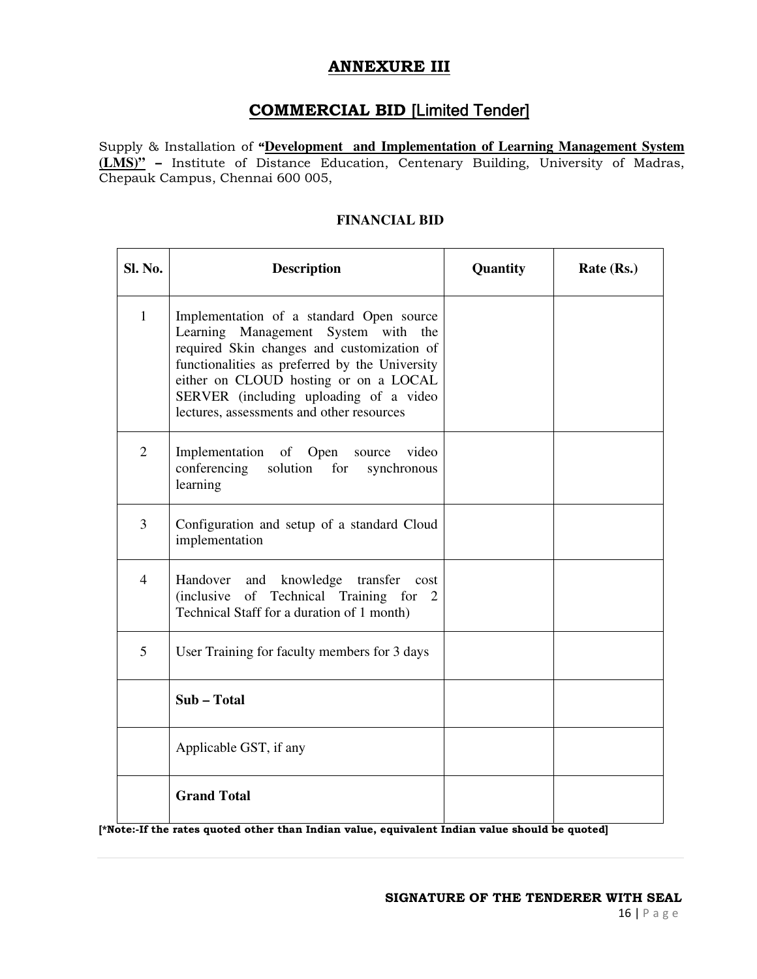# **ANNEXURE III**

# **COMMERCIAL BID** [Limited Tender]

Supply & Installation of **"Development and Implementation of Learning Management System (LMS)" –** Institute of Distance Education, Centenary Building, University of Madras, Chepauk Campus, Chennai 600 005,

| Sl. No.        | <b>Description</b>                                                                                                                                                                                                                                                                                              | Quantity | Rate (Rs.) |
|----------------|-----------------------------------------------------------------------------------------------------------------------------------------------------------------------------------------------------------------------------------------------------------------------------------------------------------------|----------|------------|
| $\mathbf{1}$   | Implementation of a standard Open source<br>Learning Management System with the<br>required Skin changes and customization of<br>functionalities as preferred by the University<br>either on CLOUD hosting or on a LOCAL<br>SERVER (including uploading of a video<br>lectures, assessments and other resources |          |            |
| $\overline{2}$ | Implementation of Open source video<br>conferencing solution for<br>synchronous<br>learning                                                                                                                                                                                                                     |          |            |
| 3              | Configuration and setup of a standard Cloud<br>implementation                                                                                                                                                                                                                                                   |          |            |
| $\overline{4}$ | Handover and knowledge transfer cost<br>(inclusive of Technical Training for<br>2<br>Technical Staff for a duration of 1 month)                                                                                                                                                                                 |          |            |
| 5              | User Training for faculty members for 3 days                                                                                                                                                                                                                                                                    |          |            |
|                | Sub-Total                                                                                                                                                                                                                                                                                                       |          |            |
|                | Applicable GST, if any                                                                                                                                                                                                                                                                                          |          |            |
|                | <b>Grand Total</b>                                                                                                                                                                                                                                                                                              |          |            |

## **FINANCIAL BID**

**[\*Note:-If the rates quoted other than Indian value, equivalent Indian value should be quoted]**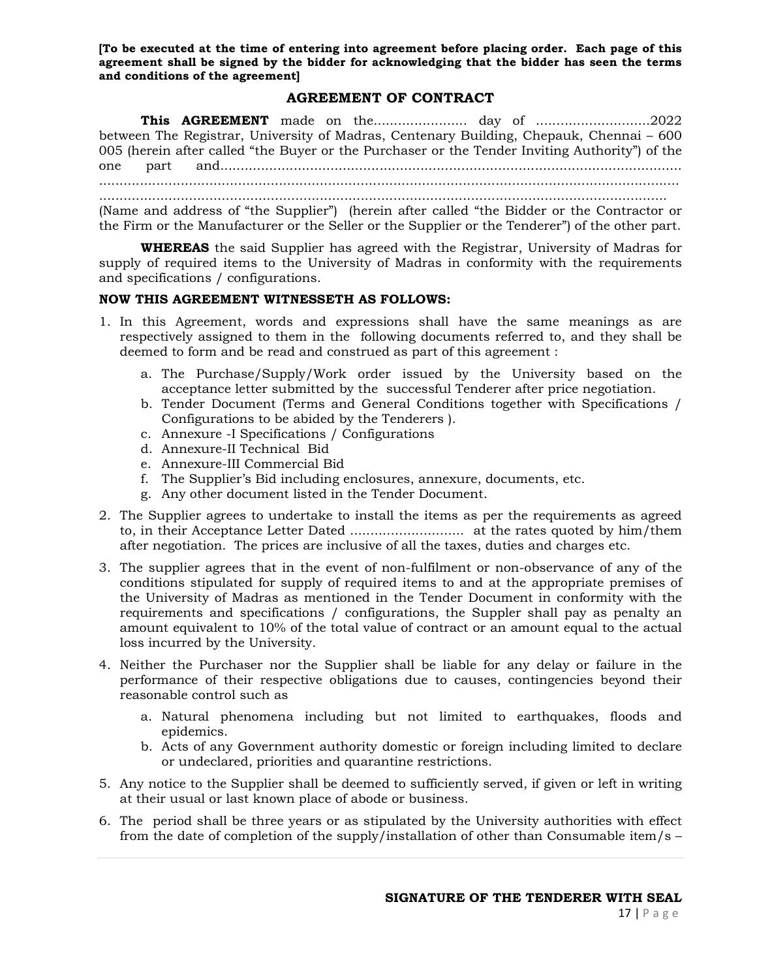**[To be executed at the time of entering into agreement before placing order. Each page of this agreement shall be signed by the bidder for acknowledging that the bidder has seen the terms and conditions of the agreement]** 

## **AGREEMENT OF CONTRACT**

**This AGREEMENT** made on the....................... day of ............................2022 between The Registrar, University of Madras, Centenary Building, Chepauk, Chennai – 600 005 (herein after called "the Buyer or the Purchaser or the Tender Inviting Authority") of the one part and................................................................................................................. .............................................................................................................................................. ...........................................................................................................................................

(Name and address of "the Supplier") (herein after called "the Bidder or the Contractor or the Firm or the Manufacturer or the Seller or the Supplier or the Tenderer") of the other part.

**WHEREAS** the said Supplier has agreed with the Registrar, University of Madras for supply of required items to the University of Madras in conformity with the requirements and specifications / configurations.

#### **NOW THIS AGREEMENT WITNESSETH AS FOLLOWS:**

- 1. In this Agreement, words and expressions shall have the same meanings as are respectively assigned to them in the following documents referred to, and they shall be deemed to form and be read and construed as part of this agreement :
	- a. The Purchase/Supply/Work order issued by the University based on the acceptance letter submitted by the successful Tenderer after price negotiation.
	- b. Tender Document (Terms and General Conditions together with Specifications / Configurations to be abided by the Tenderers ).
	- c. Annexure -I Specifications / Configurations
	- d. Annexure-II Technical Bid
	- e. Annexure-III Commercial Bid
	- f. The Supplier's Bid including enclosures, annexure, documents, etc.
	- g. Any other document listed in the Tender Document.
- 2. The Supplier agrees to undertake to install the items as per the requirements as agreed to, in their Acceptance Letter Dated ............................ at the rates quoted by him/them after negotiation. The prices are inclusive of all the taxes, duties and charges etc.
- 3. The supplier agrees that in the event of non-fulfilment or non-observance of any of the conditions stipulated for supply of required items to and at the appropriate premises of the University of Madras as mentioned in the Tender Document in conformity with the requirements and specifications / configurations, the Suppler shall pay as penalty an amount equivalent to 10% of the total value of contract or an amount equal to the actual loss incurred by the University.
- 4. Neither the Purchaser nor the Supplier shall be liable for any delay or failure in the performance of their respective obligations due to causes, contingencies beyond their reasonable control such as
	- a. Natural phenomena including but not limited to earthquakes, floods and epidemics.
	- b. Acts of any Government authority domestic or foreign including limited to declare or undeclared, priorities and quarantine restrictions.
- 5. Any notice to the Supplier shall be deemed to sufficiently served, if given or left in writing at their usual or last known place of abode or business.
- 6. The period shall be three years or as stipulated by the University authorities with effect from the date of completion of the supply/installation of other than Consumable item/s –